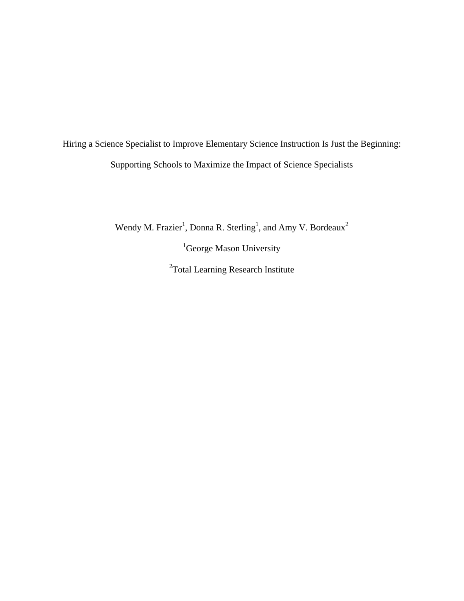Hiring a Science Specialist to Improve Elementary Science Instruction Is Just the Beginning: Supporting Schools to Maximize the Impact of Science Specialists

Wendy M. Frazier<sup>1</sup>, Donna R. Sterling<sup>1</sup>, and Amy V. Bordeaux<sup>2</sup>

<sup>1</sup>George Mason University <sup>2</sup>Total Learning Research Institute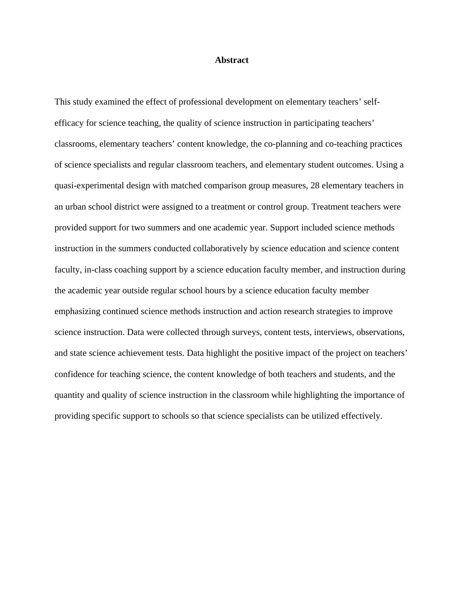### **Abstract**

This study examined the effect of professional development on elementary teachers' selfefficacy for science teaching, the quality of science instruction in participating teachers' classrooms, elementary teachers' content knowledge, the co-planning and co-teaching practices of science specialists and regular classroom teachers, and elementary student outcomes. Using a quasi-experimental design with matched comparison group measures, 28 elementary teachers in an urban school district were assigned to a treatment or control group. Treatment teachers were provided support for two summers and one academic year. Support included science methods instruction in the summers conducted collaboratively by science education and science content faculty, in-class coaching support by a science education faculty member, and instruction during the academic year outside regular school hours by a science education faculty member emphasizing continued science methods instruction and action research strategies to improve science instruction. Data were collected through surveys, content tests, interviews, observations, and state science achievement tests. Data highlight the positive impact of the project on teachers' confidence for teaching science, the content knowledge of both teachers and students, and the quantity and quality of science instruction in the classroom while highlighting the importance of providing specific support to schools so that science specialists can be utilized effectively.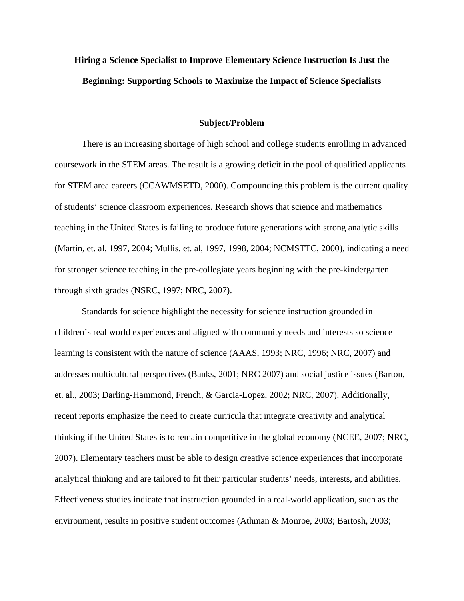# **Hiring a Science Specialist to Improve Elementary Science Instruction Is Just the Beginning: Supporting Schools to Maximize the Impact of Science Specialists**

#### **Subject/Problem**

There is an increasing shortage of high school and college students enrolling in advanced coursework in the STEM areas. The result is a growing deficit in the pool of qualified applicants for STEM area careers (CCAWMSETD, 2000). Compounding this problem is the current quality of students' science classroom experiences. Research shows that science and mathematics teaching in the United States is failing to produce future generations with strong analytic skills (Martin, et. al, 1997, 2004; Mullis, et. al, 1997, 1998, 2004; NCMSTTC, 2000), indicating a need for stronger science teaching in the pre-collegiate years beginning with the pre-kindergarten through sixth grades (NSRC, 1997; NRC, 2007).

Standards for science highlight the necessity for science instruction grounded in children's real world experiences and aligned with community needs and interests so science learning is consistent with the nature of science (AAAS, 1993; NRC, 1996; NRC, 2007) and addresses multicultural perspectives (Banks, 2001; NRC 2007) and social justice issues (Barton, et. al., 2003; Darling-Hammond, French, & Garcia-Lopez, 2002; NRC, 2007). Additionally, recent reports emphasize the need to create curricula that integrate creativity and analytical thinking if the United States is to remain competitive in the global economy (NCEE, 2007; NRC, 2007). Elementary teachers must be able to design creative science experiences that incorporate analytical thinking and are tailored to fit their particular students' needs, interests, and abilities. Effectiveness studies indicate that instruction grounded in a real-world application, such as the environment, results in positive student outcomes (Athman & Monroe, 2003; Bartosh, 2003;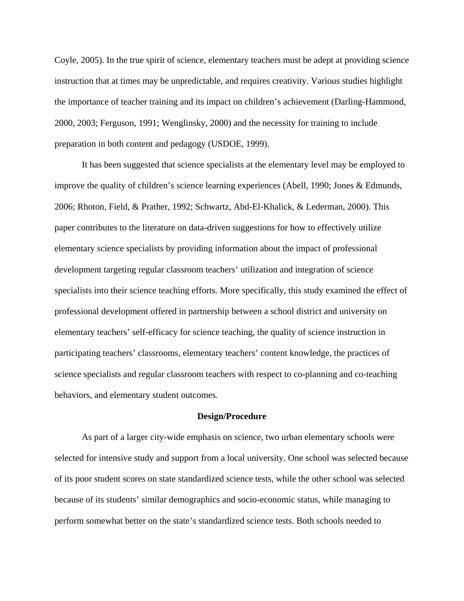Coyle, 2005). In the true spirit of science, elementary teachers must be adept at providing science instruction that at times may be unpredictable, and requires creativity. Various studies highlight the importance of teacher training and its impact on children's achievement (Darling-Hammond, 2000, 2003; Ferguson, 1991; Wenglinsky, 2000) and the necessity for training to include preparation in both content and pedagogy (USDOE, 1999).

It has been suggested that science specialists at the elementary level may be employed to improve the quality of children's science learning experiences (Abell, 1990; Jones & Edmunds, 2006; Rhoton, Field, & Prather, 1992; Schwartz, Abd-El-Khalick, & Lederman, 2000). This paper contributes to the literature on data-driven suggestions for how to effectively utilize elementary science specialists by providing information about the impact of professional development targeting regular classroom teachers' utilization and integration of science specialists into their science teaching efforts. More specifically, this study examined the effect of professional development offered in partnership between a school district and university on elementary teachers' self-efficacy for science teaching, the quality of science instruction in participating teachers' classrooms, elementary teachers' content knowledge, the practices of science specialists and regular classroom teachers with respect to co-planning and co-teaching behaviors, and elementary student outcomes.

### **Design/Procedure**

As part of a larger city-wide emphasis on science, two urban elementary schools were selected for intensive study and support from a local university. One school was selected because of its poor student scores on state standardized science tests, while the other school was selected because of its students' similar demographics and socio-economic status, while managing to perform somewhat better on the state's standardized science tests. Both schools needed to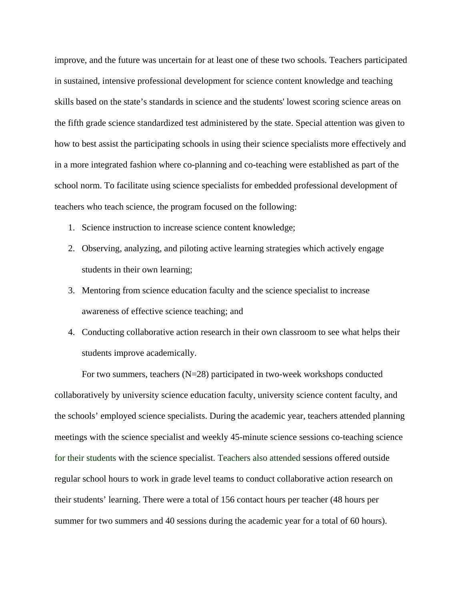improve, and the future was uncertain for at least one of these two schools. Teachers participated in sustained, intensive professional development for science content knowledge and teaching skills based on the state's standards in science and the students' lowest scoring science areas on the fifth grade science standardized test administered by the state. Special attention was given to how to best assist the participating schools in using their science specialists more effectively and in a more integrated fashion where co-planning and co-teaching were established as part of the school norm. To facilitate using science specialists for embedded professional development of teachers who teach science, the program focused on the following:

- 1. Science instruction to increase science content knowledge;
- 2. Observing, analyzing, and piloting active learning strategies which actively engage students in their own learning;
- 3. Mentoring from science education faculty and the science specialist to increase awareness of effective science teaching; and
- 4. Conducting collaborative action research in their own classroom to see what helps their students improve academically.

For two summers, teachers (N=28) participated in two-week workshops conducted collaboratively by university science education faculty, university science content faculty, and the schools' employed science specialists. During the academic year, teachers attended planning meetings with the science specialist and weekly 45-minute science sessions co-teaching science for their students with the science specialist. Teachers also attended sessions offered outside regular school hours to work in grade level teams to conduct collaborative action research on their students' learning. There were a total of 156 contact hours per teacher (48 hours per summer for two summers and 40 sessions during the academic year for a total of 60 hours).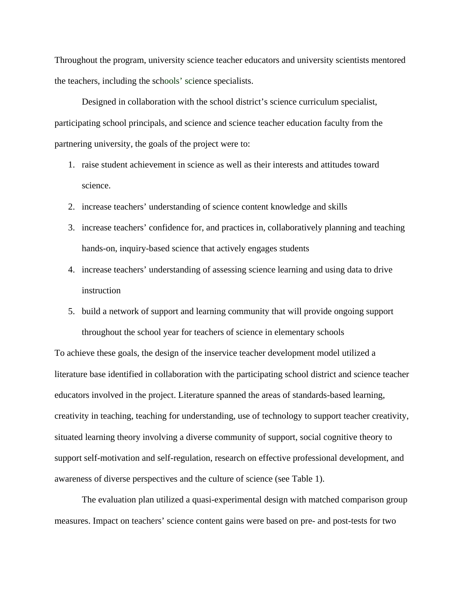Throughout the program, university science teacher educators and university scientists mentored the teachers, including the schools' science specialists.

Designed in collaboration with the school district's science curriculum specialist, participating school principals, and science and science teacher education faculty from the partnering university, the goals of the project were to:

- 1. raise student achievement in science as well as their interests and attitudes toward science.
- 2. increase teachers' understanding of science content knowledge and skills
- 3. increase teachers' confidence for, and practices in, collaboratively planning and teaching hands-on, inquiry-based science that actively engages students
- 4. increase teachers' understanding of assessing science learning and using data to drive instruction
- 5. build a network of support and learning community that will provide ongoing support throughout the school year for teachers of science in elementary schools

To achieve these goals, the design of the inservice teacher development model utilized a literature base identified in collaboration with the participating school district and science teacher educators involved in the project. Literature spanned the areas of standards-based learning, creativity in teaching, teaching for understanding, use of technology to support teacher creativity, situated learning theory involving a diverse community of support, social cognitive theory to support self-motivation and self-regulation, research on effective professional development, and awareness of diverse perspectives and the culture of science (see Table 1).

The evaluation plan utilized a quasi-experimental design with matched comparison group measures. Impact on teachers' science content gains were based on pre- and post-tests for two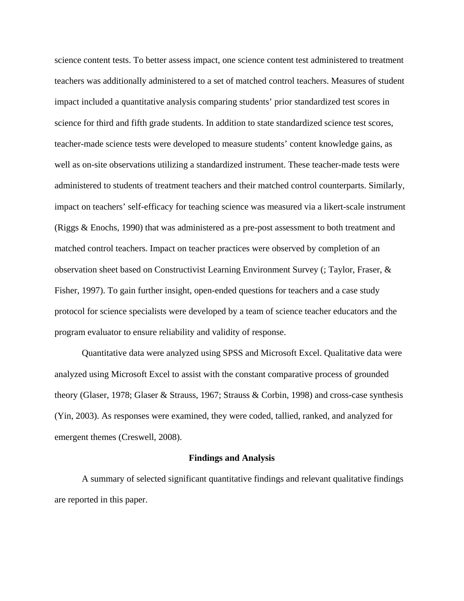science content tests. To better assess impact, one science content test administered to treatment teachers was additionally administered to a set of matched control teachers. Measures of student impact included a quantitative analysis comparing students' prior standardized test scores in science for third and fifth grade students. In addition to state standardized science test scores, teacher-made science tests were developed to measure students' content knowledge gains, as well as on-site observations utilizing a standardized instrument. These teacher-made tests were administered to students of treatment teachers and their matched control counterparts. Similarly, impact on teachers' self-efficacy for teaching science was measured via a likert-scale instrument (Riggs & Enochs, 1990) that was administered as a pre-post assessment to both treatment and matched control teachers. Impact on teacher practices were observed by completion of an observation sheet based on Constructivist Learning Environment Survey (; Taylor, Fraser, & Fisher, 1997). To gain further insight, open-ended questions for teachers and a case study protocol for science specialists were developed by a team of science teacher educators and the program evaluator to ensure reliability and validity of response.

Quantitative data were analyzed using SPSS and Microsoft Excel. Qualitative data were analyzed using Microsoft Excel to assist with the constant comparative process of grounded theory (Glaser, 1978; Glaser & Strauss, 1967; Strauss & Corbin, 1998) and cross-case synthesis (Yin, 2003). As responses were examined, they were coded, tallied, ranked, and analyzed for emergent themes (Creswell, 2008).

#### **Findings and Analysis**

A summary of selected significant quantitative findings and relevant qualitative findings are reported in this paper.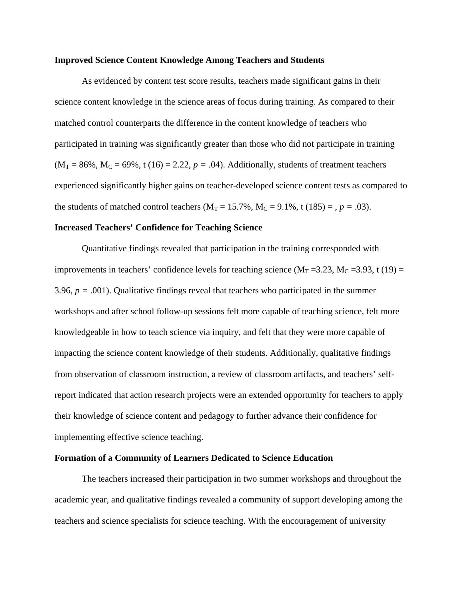#### **Improved Science Content Knowledge Among Teachers and Students**

As evidenced by content test score results, teachers made significant gains in their science content knowledge in the science areas of focus during training. As compared to their matched control counterparts the difference in the content knowledge of teachers who participated in training was significantly greater than those who did not participate in training  $(M_T = 86\%, M_C = 69\%, t(16) = 2.22, p = .04)$ . Additionally, students of treatment teachers experienced significantly higher gains on teacher-developed science content tests as compared to the students of matched control teachers ( $M_T = 15.7\%$ ,  $M_C = 9.1\%$ , t (185) = ,  $p = .03$ ).

### **Increased Teachers' Confidence for Teaching Science**

Quantitative findings revealed that participation in the training corresponded with improvements in teachers' confidence levels for teaching science ( $M_T = 3.23$ ,  $M_C = 3.93$ , t (19) = 3.96,  $p = .001$ ). Qualitative findings reveal that teachers who participated in the summer workshops and after school follow-up sessions felt more capable of teaching science, felt more knowledgeable in how to teach science via inquiry, and felt that they were more capable of impacting the science content knowledge of their students. Additionally, qualitative findings from observation of classroom instruction, a review of classroom artifacts, and teachers' selfreport indicated that action research projects were an extended opportunity for teachers to apply their knowledge of science content and pedagogy to further advance their confidence for implementing effective science teaching.

### **Formation of a Community of Learners Dedicated to Science Education**

The teachers increased their participation in two summer workshops and throughout the academic year, and qualitative findings revealed a community of support developing among the teachers and science specialists for science teaching. With the encouragement of university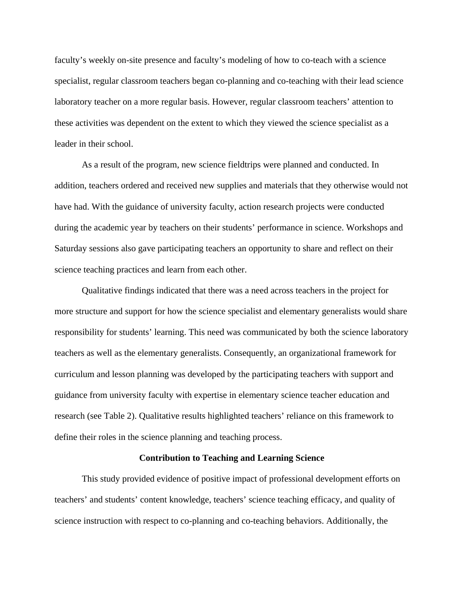faculty's weekly on-site presence and faculty's modeling of how to co-teach with a science specialist, regular classroom teachers began co-planning and co-teaching with their lead science laboratory teacher on a more regular basis. However, regular classroom teachers' attention to these activities was dependent on the extent to which they viewed the science specialist as a leader in their school.

As a result of the program, new science fieldtrips were planned and conducted. In addition, teachers ordered and received new supplies and materials that they otherwise would not have had. With the guidance of university faculty, action research projects were conducted during the academic year by teachers on their students' performance in science. Workshops and Saturday sessions also gave participating teachers an opportunity to share and reflect on their science teaching practices and learn from each other.

Qualitative findings indicated that there was a need across teachers in the project for more structure and support for how the science specialist and elementary generalists would share responsibility for students' learning. This need was communicated by both the science laboratory teachers as well as the elementary generalists. Consequently, an organizational framework for curriculum and lesson planning was developed by the participating teachers with support and guidance from university faculty with expertise in elementary science teacher education and research (see Table 2). Qualitative results highlighted teachers' reliance on this framework to define their roles in the science planning and teaching process.

## **Contribution to Teaching and Learning Science**

This study provided evidence of positive impact of professional development efforts on teachers' and students' content knowledge, teachers' science teaching efficacy, and quality of science instruction with respect to co-planning and co-teaching behaviors. Additionally, the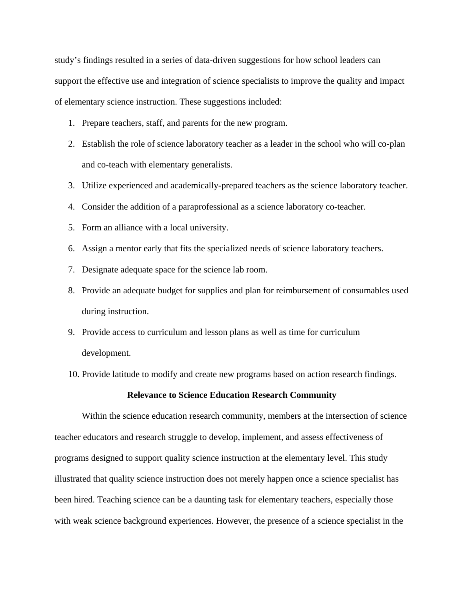study's findings resulted in a series of data-driven suggestions for how school leaders can support the effective use and integration of science specialists to improve the quality and impact of elementary science instruction. These suggestions included:

- 1. Prepare teachers, staff, and parents for the new program.
- 2. Establish the role of science laboratory teacher as a leader in the school who will co-plan and co-teach with elementary generalists.
- 3. Utilize experienced and academically-prepared teachers as the science laboratory teacher.
- 4. Consider the addition of a paraprofessional as a science laboratory co-teacher.
- 5. Form an alliance with a local university.
- 6. Assign a mentor early that fits the specialized needs of science laboratory teachers.
- 7. Designate adequate space for the science lab room.
- 8. Provide an adequate budget for supplies and plan for reimbursement of consumables used during instruction.
- 9. Provide access to curriculum and lesson plans as well as time for curriculum development.
- 10. Provide latitude to modify and create new programs based on action research findings.

## **Relevance to Science Education Research Community**

Within the science education research community, members at the intersection of science teacher educators and research struggle to develop, implement, and assess effectiveness of programs designed to support quality science instruction at the elementary level. This study illustrated that quality science instruction does not merely happen once a science specialist has been hired. Teaching science can be a daunting task for elementary teachers, especially those with weak science background experiences. However, the presence of a science specialist in the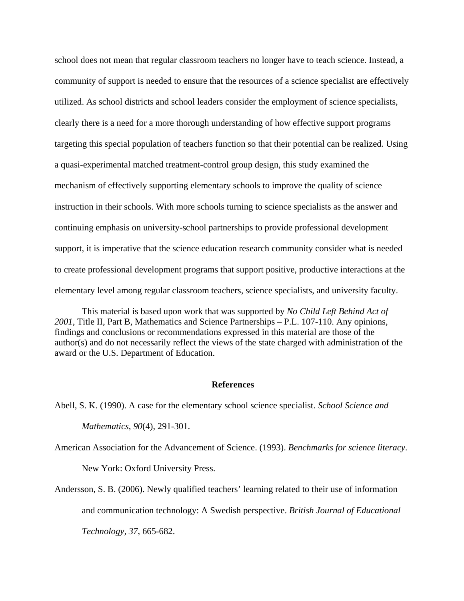school does not mean that regular classroom teachers no longer have to teach science. Instead, a community of support is needed to ensure that the resources of a science specialist are effectively utilized. As school districts and school leaders consider the employment of science specialists, clearly there is a need for a more thorough understanding of how effective support programs targeting this special population of teachers function so that their potential can be realized. Using a quasi-experimental matched treatment-control group design, this study examined the mechanism of effectively supporting elementary schools to improve the quality of science instruction in their schools. With more schools turning to science specialists as the answer and continuing emphasis on university-school partnerships to provide professional development support, it is imperative that the science education research community consider what is needed to create professional development programs that support positive, productive interactions at the elementary level among regular classroom teachers, science specialists, and university faculty.

This material is based upon work that was supported by *No Child Left Behind Act of 2001*, Title II, Part B, Mathematics and Science Partnerships – P.L. 107-110. Any opinions, findings and conclusions or recommendations expressed in this material are those of the author(s) and do not necessarily reflect the views of the state charged with administration of the award or the U.S. Department of Education.

#### **References**

Abell, S. K. (1990). A case for the elementary school science specialist. *School Science and* 

*Mathematics, 90*(4), 291-301.

American Association for the Advancement of Science. (1993). *Benchmarks for science literacy*.

New York: Oxford University Press.

Andersson, S. B. (2006). Newly qualified teachers' learning related to their use of information and communication technology: A Swedish perspective. *British Journal of Educational* 

*Technology, 37*, 665-682.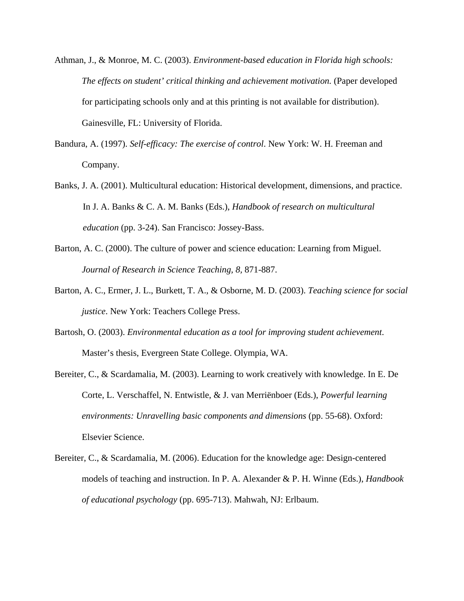- Athman, J., & Monroe, M. C. (2003). *Environment-based education in Florida high schools: The effects on student' critical thinking and achievement motivation.* (Paper developed for participating schools only and at this printing is not available for distribution). Gainesville, FL: University of Florida.
- Bandura, A. (1997). *Self-efficacy: The exercise of control*. New York: W. H. Freeman and Company.
- Banks, J. A. (2001). Multicultural education: Historical development, dimensions, and practice. In J. A. Banks & C. A. M. Banks (Eds.), *Handbook of research on multicultural education* (pp. 3-24). San Francisco: Jossey-Bass.
- Barton, A. C. (2000). The culture of power and science education: Learning from Miguel. *Journal of Research in Science Teaching, 8,* 871-887.
- Barton, A. C., Ermer, J. L., Burkett, T. A., & Osborne, M. D. (2003). *Teaching science for social justice*. New York: Teachers College Press.
- Bartosh, O. (2003). *Environmental education as a tool for improving student achievement*. Master's thesis, Evergreen State College. Olympia, WA.
- Bereiter, C., & Scardamalia, M. (2003). Learning to work creatively with knowledge. In E. De Corte, L. Verschaffel, N. Entwistle, & J. van Merriënboer (Eds.), *Powerful learning environments: Unravelling basic components and dimensions* (pp. 55-68). Oxford: Elsevier Science.
- Bereiter, C., & Scardamalia, M. (2006). Education for the knowledge age: Design-centered models of teaching and instruction. In P. A. Alexander & P. H. Winne (Eds.), *Handbook of educational psychology* (pp. 695-713). Mahwah, NJ: Erlbaum.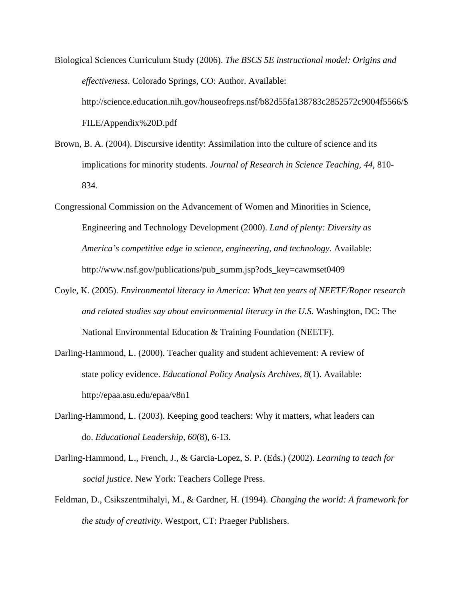Biological Sciences Curriculum Study (2006). *The BSCS 5E instructional model: Origins and effectiveness*. Colorado Springs, CO: Author. Available: http://science.education.nih.gov/houseofreps.nsf/b82d55fa138783c2852572c9004f5566/\$ FILE/Appendix%20D.pdf

- Brown, B. A. (2004). Discursive identity: Assimilation into the culture of science and its implications for minority students. *Journal of Research in Science Teaching, 44*, 810- 834.
- Congressional Commission on the Advancement of Women and Minorities in Science, Engineering and Technology Development (2000). *Land of plenty: Diversity as America's competitive edge in science, engineering, and technology.* Available: http://www.nsf.gov/publications/pub\_summ.jsp?ods\_key=cawmset0409
- Coyle, K. (2005). *Environmental literacy in America: What ten years of NEETF/Roper research and related studies say about environmental literacy in the U.S.* Washington, DC: The National Environmental Education & Training Foundation (NEETF).
- Darling-Hammond, L. (2000). Teacher quality and student achievement: A review of state policy evidence. *Educational Policy Analysis Archives, 8*(1). Available: http://epaa.asu.edu/epaa/v8n1
- Darling-Hammond, L. (2003). Keeping good teachers: Why it matters, what leaders can do. *Educational Leadership, 60*(8), 6-13.
- Darling-Hammond, L., French, J., & Garcia-Lopez, S. P. (Eds.) (2002). *Learning to teach for social justice*. New York: Teachers College Press.
- Feldman, D., Csikszentmihalyi, M., & Gardner, H. (1994). *Changing the world: A framework for the study of creativity*. Westport, CT: Praeger Publishers.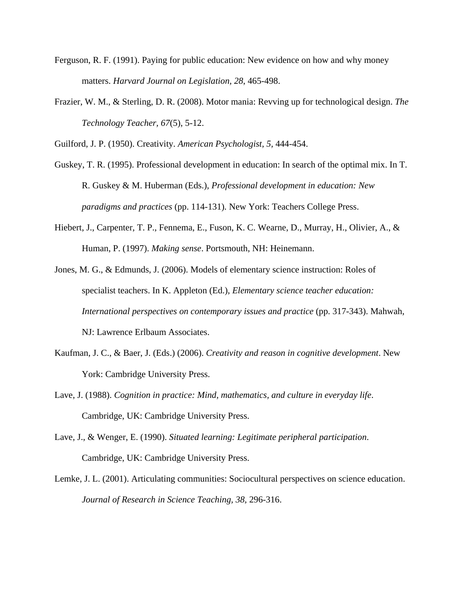- Ferguson, R. F. (1991). Paying for public education: New evidence on how and why money matters. *Harvard Journal on Legislation, 28*, 465-498.
- Frazier, W. M., & Sterling, D. R. (2008). Motor mania: Revving up for technological design. *The Technology Teacher, 67*(5), 5-12.

Guilford, J. P. (1950). Creativity. *American Psychologist, 5,* 444-454.

- Guskey, T. R. (1995). Professional development in education: In search of the optimal mix. In T. R. Guskey & M. Huberman (Eds.), *Professional development in education: New paradigms and practices* (pp. 114-131)*.* New York: Teachers College Press.
- Hiebert, J., Carpenter, T. P., Fennema, E., Fuson, K. C. Wearne, D., Murray, H., Olivier, A., & Human, P. (1997). *Making sense*. Portsmouth, NH: Heinemann.
- Jones, M. G., & Edmunds, J. (2006). Models of elementary science instruction: Roles of specialist teachers. In K. Appleton (Ed.), *Elementary science teacher education: International perspectives on contemporary issues and practice* (pp. 317-343). Mahwah, NJ: Lawrence Erlbaum Associates.
- Kaufman, J. C., & Baer, J. (Eds.) (2006). *Creativity and reason in cognitive development*. New York: Cambridge University Press.
- Lave, J. (1988). *Cognition in practice: Mind, mathematics, and culture in everyday life*. Cambridge, UK: Cambridge University Press.
- Lave, J., & Wenger, E. (1990). *Situated learning: Legitimate peripheral participation*. Cambridge, UK: Cambridge University Press.
- Lemke, J. L. (2001). Articulating communities: Sociocultural perspectives on science education. *Journal of Research in Science Teaching, 38,* 296-316.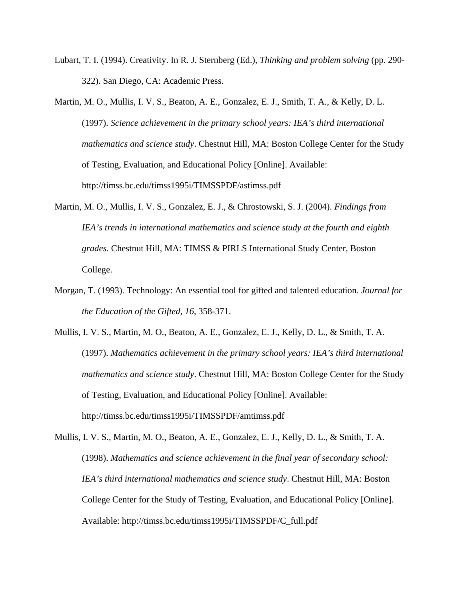- Lubart, T. I. (1994). Creativity. In R. J. Sternberg (Ed.), *Thinking and problem solving* (pp. 290- 322). San Diego, CA: Academic Press.
- Martin, M. O., Mullis, I. V. S., Beaton, A. E., Gonzalez, E. J., Smith, T. A., & Kelly, D. L. (1997). *Science achievement in the primary school years: IEA's third international mathematics and science study*. Chestnut Hill, MA: Boston College Center for the Study of Testing, Evaluation, and Educational Policy [Online]. Available: http://timss.bc.edu/timss1995i/TIMSSPDF/astimss.pdf
- Martin, M. O., Mullis, I. V. S., Gonzalez, E. J., & Chrostowski, S. J. (2004). *Findings from IEA's trends in international mathematics and science study at the fourth and eighth grades.* Chestnut Hill, MA: TIMSS & PIRLS International Study Center, Boston College.
- Morgan, T. (1993). Technology: An essential tool for gifted and talented education. *Journal for the Education of the Gifted, 16*, 358-371.
- Mullis, I. V. S., Martin, M. O., Beaton, A. E., Gonzalez, E. J., Kelly, D. L., & Smith, T. A. (1997). *Mathematics achievement in the primary school years: IEA's third international mathematics and science study*. Chestnut Hill, MA: Boston College Center for the Study of Testing, Evaluation, and Educational Policy [Online]. Available: http://timss.bc.edu/timss1995i/TIMSSPDF/amtimss.pdf
- Mullis, I. V. S., Martin, M. O., Beaton, A. E., Gonzalez, E. J., Kelly, D. L., & Smith, T. A. (1998). *Mathematics and science achievement in the final year of secondary school: IEA's third international mathematics and science study*. Chestnut Hill, MA: Boston College Center for the Study of Testing, Evaluation, and Educational Policy [Online]. Available: http://timss.bc.edu/timss1995i/TIMSSPDF/C\_full.pdf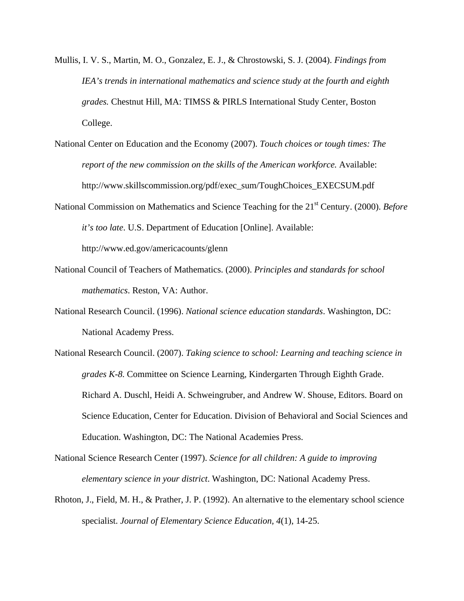- Mullis, I. V. S., Martin, M. O., Gonzalez, E. J., & Chrostowski, S. J. (2004). *Findings from IEA's trends in international mathematics and science study at the fourth and eighth grades.* Chestnut Hill, MA: TIMSS & PIRLS International Study Center, Boston College.
- National Center on Education and the Economy (2007). *Touch choices or tough times: The report of the new commission on the skills of the American workforce.* Available: http://www.skillscommission.org/pdf/exec\_sum/ToughChoices\_EXECSUM.pdf
- National Commission on Mathematics and Science Teaching for the 21<sup>st</sup> Century. (2000). *Before it's too late*. U.S. Department of Education [Online]. Available:

http://www.ed.gov/americacounts/glenn

- National Council of Teachers of Mathematics. (2000). *Principles and standards for school mathematics*. Reston, VA: Author.
- National Research Council. (1996). *National science education standards*. Washington, DC: National Academy Press.
- National Research Council. (2007). *Taking science to school: Learning and teaching science in grades K-8.* Committee on Science Learning, Kindergarten Through Eighth Grade. Richard A. Duschl, Heidi A. Schweingruber, and Andrew W. Shouse, Editors. Board on Science Education, Center for Education. Division of Behavioral and Social Sciences and Education. Washington, DC: The National Academies Press.
- National Science Research Center (1997). *Science for all children: A guide to improving elementary science in your district*. Washington, DC: National Academy Press.
- Rhoton, J., Field, M. H., & Prather, J. P. (1992). An alternative to the elementary school science specialist. *Journal of Elementary Science Education, 4*(1), 14-25.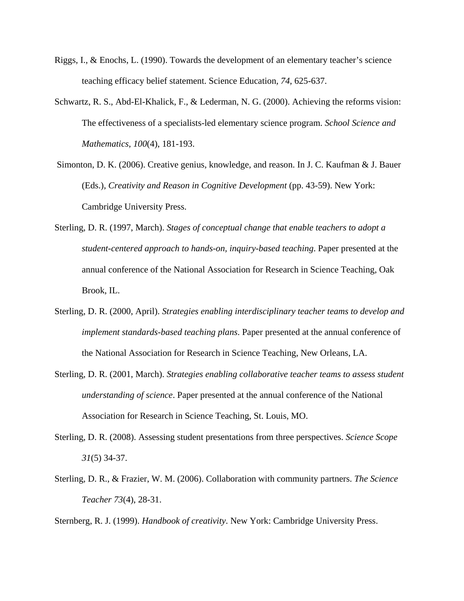- Riggs, I., & Enochs, L. (1990). Towards the development of an elementary teacher's science teaching efficacy belief statement. Science Education*, 74,* 625-637.
- Schwartz, R. S., Abd-El-Khalick, F., & Lederman, N. G. (2000). Achieving the reforms vision: The effectiveness of a specialists-led elementary science program. *School Science and Mathematics, 100*(4), 181-193.
- Simonton, D. K. (2006). Creative genius, knowledge, and reason. In J. C. Kaufman & J. Bauer (Eds.), *Creativity and Reason in Cognitive Development* (pp. 43-59). New York: Cambridge University Press.
- Sterling, D. R. (1997, March). *Stages of conceptual change that enable teachers to adopt a student-centered approach to hands-on, inquiry-based teaching*. Paper presented at the annual conference of the National Association for Research in Science Teaching, Oak Brook, IL.
- Sterling, D. R. (2000, April). *Strategies enabling interdisciplinary teacher teams to develop and implement standards-based teaching plans*. Paper presented at the annual conference of the National Association for Research in Science Teaching, New Orleans, LA.
- Sterling, D. R. (2001, March). *Strategies enabling collaborative teacher teams to assess student understanding of science*. Paper presented at the annual conference of the National Association for Research in Science Teaching, St. Louis, MO.
- Sterling, D. R. (2008). Assessing student presentations from three perspectives. *Science Scope 31*(5) 34-37.
- Sterling, D. R., & Frazier, W. M. (2006). Collaboration with community partners. *The Science Teacher 73*(4), 28-31.

Sternberg, R. J. (1999). *Handbook of creativity*. New York: Cambridge University Press.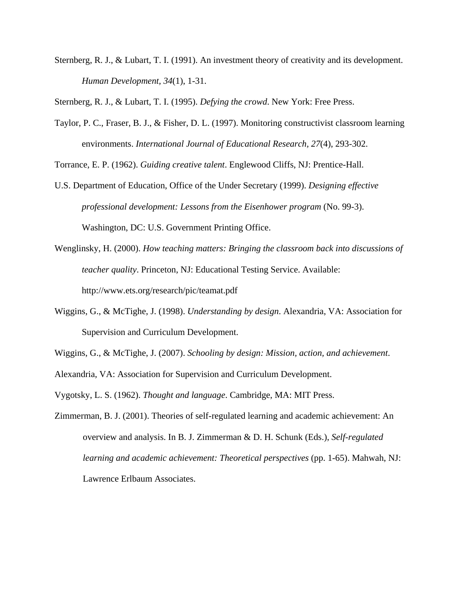Sternberg, R. J., & Lubart, T. I. (1991). An investment theory of creativity and its development. *Human Development, 34*(1), 1-31.

Sternberg, R. J., & Lubart, T. I. (1995). *Defying the crowd*. New York: Free Press.

Taylor, P. C., Fraser, B. J., & Fisher, D. L. (1997). Monitoring constructivist classroom learning environments. *International Journal of Educational Research, 27*(4), 293-302.

Torrance, E. P. (1962). *Guiding creative talent*. Englewood Cliffs, NJ: Prentice-Hall.

- U.S. Department of Education, Office of the Under Secretary (1999). *Designing effective professional development: Lessons from the Eisenhower program* (No. 99-3). Washington, DC: U.S. Government Printing Office.
- Wenglinsky, H. (2000). *How teaching matters: Bringing the classroom back into discussions of teacher quality*. Princeton, NJ: Educational Testing Service. Available: http://www.ets.org/research/pic/teamat.pdf
- Wiggins, G., & McTighe, J. (1998). *Understanding by design*. Alexandria, VA: Association for Supervision and Curriculum Development.
- Wiggins, G., & McTighe, J. (2007). *Schooling by design: Mission, action, and achievement*.
- Alexandria, VA: Association for Supervision and Curriculum Development.
- Vygotsky, L. S. (1962). *Thought and language*. Cambridge, MA: MIT Press.
- Zimmerman, B. J. (2001). Theories of self-regulated learning and academic achievement: An overview and analysis. In B. J. Zimmerman & D. H. Schunk (Eds.), *Self-regulated learning and academic achievement: Theoretical perspectives* (pp. 1-65). Mahwah, NJ: Lawrence Erlbaum Associates.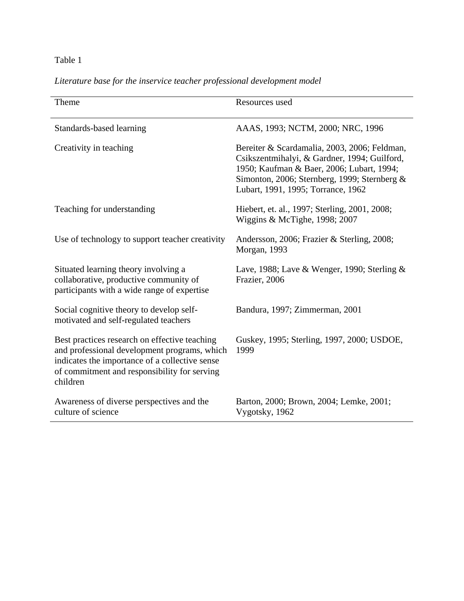# Table 1

| Theme                                                                                                                                                                                                       | Resources used                                                                                                                                                                                                                  |  |
|-------------------------------------------------------------------------------------------------------------------------------------------------------------------------------------------------------------|---------------------------------------------------------------------------------------------------------------------------------------------------------------------------------------------------------------------------------|--|
| Standards-based learning                                                                                                                                                                                    | AAAS, 1993; NCTM, 2000; NRC, 1996                                                                                                                                                                                               |  |
| Creativity in teaching                                                                                                                                                                                      | Bereiter & Scardamalia, 2003, 2006; Feldman,<br>Csikszentmihalyi, & Gardner, 1994; Guilford,<br>1950; Kaufman & Baer, 2006; Lubart, 1994;<br>Simonton, 2006; Sternberg, 1999; Sternberg &<br>Lubart, 1991, 1995; Torrance, 1962 |  |
| Teaching for understanding                                                                                                                                                                                  | Hiebert, et. al., 1997; Sterling, 2001, 2008;<br>Wiggins & McTighe, 1998; 2007                                                                                                                                                  |  |
| Use of technology to support teacher creativity                                                                                                                                                             | Andersson, 2006; Frazier & Sterling, 2008;<br>Morgan, 1993                                                                                                                                                                      |  |
| Situated learning theory involving a<br>collaborative, productive community of<br>participants with a wide range of expertise                                                                               | Lave, 1988; Lave & Wenger, 1990; Sterling $\&$<br>Frazier, 2006                                                                                                                                                                 |  |
| Social cognitive theory to develop self-<br>motivated and self-regulated teachers                                                                                                                           | Bandura, 1997; Zimmerman, 2001                                                                                                                                                                                                  |  |
| Best practices research on effective teaching<br>and professional development programs, which<br>indicates the importance of a collective sense<br>of commitment and responsibility for serving<br>children | Guskey, 1995; Sterling, 1997, 2000; USDOE,<br>1999                                                                                                                                                                              |  |
| Awareness of diverse perspectives and the<br>culture of science                                                                                                                                             | Barton, 2000; Brown, 2004; Lemke, 2001;<br>Vygotsky, 1962                                                                                                                                                                       |  |

# *Literature base for the inservice teacher professional development model*